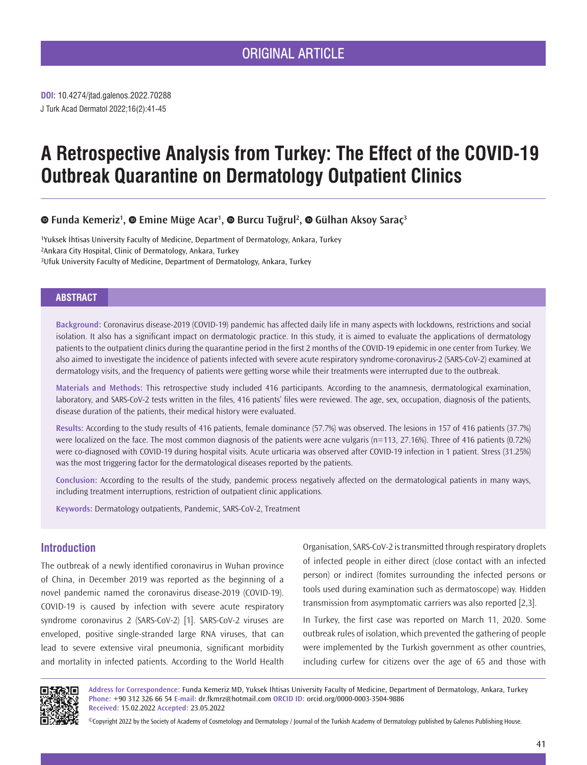# ORIGINAL ARTICLE

J Turk Acad Dermatol 2022;16(2):41-45 **DOI:** 10.4274/jtad.galenos.2022.70288

# **A Retrospective Analysis from Turkey: The Effect of the COVID-19 Outbreak Quarantine on Dermatology Outpatient Clinics**

# *EundaKemeriz<sup>1</sup>, © Emine Müge Acar<sup>1</sup>, © Burcu Tuğrul<sup>2</sup>, © Gülhan Aksoy Saraç<sup>3</sup>*

1Yuksek İhtisas University Faculty of Medicine, Department of Dermatology, Ankara, Turkey 2Ankara City Hospital, Clinic of Dermatology, Ankara, Turkey 3Ufuk University Faculty of Medicine, Department of Dermatology, Ankara, Turkey

# **ABSTRACT**

**Background:** Coronavirus disease-2019 (COVID-19) pandemic has affected daily life in many aspects with lockdowns, restrictions and social isolation. It also has a significant impact on dermatologic practice. In this study, it is aimed to evaluate the applications of dermatology patients to the outpatient clinics during the quarantine period in the first 2 months of the COVID-19 epidemic in one center from Turkey. We also aimed to investigate the incidence of patients infected with severe acute respiratory syndrome-coronavirus-2 (SARS-CoV-2) examined at dermatology visits, and the frequency of patients were getting worse while their treatments were interrupted due to the outbreak.

**Materials and Methods:** This retrospective study included 416 participants. According to the anamnesis, dermatological examination, laboratory, and SARS-CoV-2 tests written in the files, 416 patients' files were reviewed. The age, sex, occupation, diagnosis of the patients, disease duration of the patients, their medical history were evaluated.

**Results:** According to the study results of 416 patients, female dominance (57.7%) was observed. The lesions in 157 of 416 patients (37.7%) were localized on the face. The most common diagnosis of the patients were acne vulgaris (n=113, 27.16%). Three of 416 patients (0.72%) were co-diagnosed with COVID-19 during hospital visits. Acute urticaria was observed after COVID-19 infection in 1 patient. Stress (31.25%) was the most triggering factor for the dermatological diseases reported by the patients.

**Conclusion:** According to the results of the study, pandemic process negatively affected on the dermatological patients in many ways, including treatment interruptions, restriction of outpatient clinic applications.

**Keywords:** Dermatology outpatients, Pandemic, SARS-CoV-2, Treatment

# **Introduction**

The outbreak of a newly identified coronavirus in Wuhan province of China, in December 2019 was reported as the beginning of a novel pandemic named the coronavirus disease-2019 (COVID-19). COVID-19 is caused by infection with severe acute respiratory syndrome coronavirus 2 (SARS-CoV-2) [1]. SARS-CoV-2 viruses are enveloped, positive single-stranded large RNA viruses, that can lead to severe extensive viral pneumonia, significant morbidity and mortality in infected patients. According to the World Health

Organisation, SARS‐CoV‐2 is transmitted through respiratory droplets of infected people in either direct (close contact with an infected person) or indirect (fomites surrounding the infected persons or tools used during examination such as dermatoscope) way. Hidden transmission from asymptomatic carriers was also reported [2,3].

In Turkey, the first case was reported on March 11, 2020. Some outbreak rules of isolation, which prevented the gathering of people were implemented by the Turkish government as other countries, including curfew for citizens over the age of 65 and those with



**Address for Correspondence:** Funda Kemeriz MD, Yuksek Ihtisas University Faculty of Medicine, Department of Dermatology, Ankara, Turkey **Phone:** +90 312 326 66 54 **E-mail:** dr.fkmrz@hotmail.com **ORCID ID:** orcid.org/0000-0003-3504-9886 **Received:** 15.02.2022 **Accepted:** 23.05.2022

©Copyright 2022 by the Society of Academy of Cosmetology and Dermatology / Journal of the Turkish Academy of Dermatology published by Galenos Publishing House.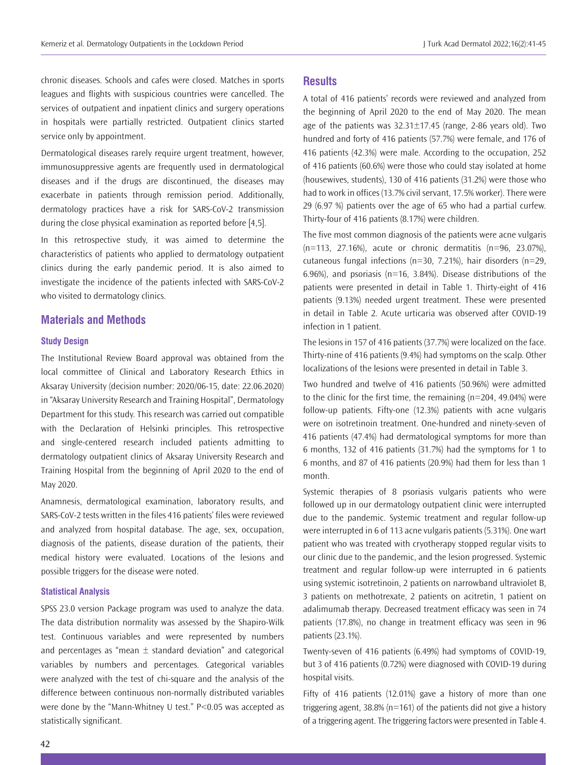chronic diseases. Schools and cafes were closed. Matches in sports leagues and flights with suspicious countries were cancelled. The services of outpatient and inpatient clinics and surgery operations in hospitals were partially restricted. Outpatient clinics started service only by appointment.

Dermatological diseases rarely require urgent treatment, however, immunosuppressive agents are frequently used in dermatological diseases and if the drugs are discontinued, the diseases may exacerbate in patients through remission period. Additionally, dermatology practices have a risk for SARS-CoV-2 transmission during the close physical examination as reported before [4,5].

In this retrospective study, it was aimed to determine the characteristics of patients who applied to dermatology outpatient clinics during the early pandemic period. It is also aimed to investigate the incidence of the patients infected with SARS-CoV-2 who visited to dermatology clinics.

#### **Materials and Methods**

#### **Study Design**

The Institutional Review Board approval was obtained from the local committee of Clinical and Laboratory Research Ethics in Aksaray University (decision number: 2020/06-15, date: 22.06.2020) in "Aksaray University Research and Training Hospital", Dermatology Department for this study. This research was carried out compatible with the Declaration of Helsinki principles. This retrospective and single-centered research included patients admitting to dermatology outpatient clinics of Aksaray University Research and Training Hospital from the beginning of April 2020 to the end of May 2020.

Anamnesis, dermatological examination, laboratory results, and SARS-CoV-2 tests written in the files 416 patients' files were reviewed and analyzed from hospital database. The age, sex, occupation, diagnosis of the patients, disease duration of the patients, their medical history were evaluated. Locations of the lesions and possible triggers for the disease were noted.

#### **Statistical Analysis**

SPSS 23.0 version Package program was used to analyze the data. The data distribution normality was assessed by the Shapiro-Wilk test. Continuous variables and were represented by numbers and percentages as "mean  $\pm$  standard deviation" and categorical variables by numbers and percentages. Categorical variables were analyzed with the test of chi-square and the analysis of the difference between continuous non-normally distributed variables were done by the "Mann-Whitney U test." P<0.05 was accepted as statistically significant.

#### **Results**

A total of 416 patients' records were reviewed and analyzed from the beginning of April 2020 to the end of May 2020. The mean age of the patients was  $32.31 \pm 17.45$  (range, 2-86 years old). Two hundred and forty of 416 patients (57.7%) were female, and 176 of 416 patients (42.3%) were male. According to the occupation, 252 of 416 patients (60.6%) were those who could stay isolated at home (housewives, students), 130 of 416 patients (31.2%) were those who had to work in offices (13.7% civil servant, 17.5% worker). There were 29 (6.97 %) patients over the age of 65 who had a partial curfew. Thirty-four of 416 patients (8.17%) were children.

The five most common diagnosis of the patients were acne vulgaris (n=113, 27.16%), acute or chronic dermatitis (n=96, 23.07%), cutaneous fungal infections (n=30, 7.21%), hair disorders (n=29, 6.96%), and psoriasis ( $n=16$ , 3.84%). Disease distributions of the patients were presented in detail in Table 1. Thirty-eight of 416 patients (9.13%) needed urgent treatment. These were presented in detail in Table 2. Acute urticaria was observed after COVID-19 infection in 1 patient.

The lesions in 157 of 416 patients (37.7%) were localized on the face. Thirty-nine of 416 patients (9.4%) had symptoms on the scalp. Other localizations of the lesions were presented in detail in Table 3.

Two hundred and twelve of 416 patients (50.96%) were admitted to the clinic for the first time, the remaining (n=204, 49.04%) were follow-up patients. Fifty-one (12.3%) patients with acne vulgaris were on isotretinoin treatment. One-hundred and ninety-seven of 416 patients (47.4%) had dermatological symptoms for more than 6 months, 132 of 416 patients (31.7%) had the symptoms for 1 to 6 months, and 87 of 416 patients (20.9%) had them for less than 1 month.

Systemic therapies of 8 psoriasis vulgaris patients who were followed up in our dermatology outpatient clinic were interrupted due to the pandemic. Systemic treatment and regular follow-up were interrupted in 6 of 113 acne vulgaris patients (5.31%). One wart patient who was treated with cryotherapy stopped regular visits to our clinic due to the pandemic, and the lesion progressed. Systemic treatment and regular follow-up were interrupted in 6 patients using systemic isotretinoin, 2 patients on narrowband ultraviolet B, 3 patients on methotrexate, 2 patients on acitretin, 1 patient on adalimumab therapy. Decreased treatment efficacy was seen in 74 patients (17.8%), no change in treatment efficacy was seen in 96 patients (23.1%).

Twenty-seven of 416 patients (6.49%) had symptoms of COVID-19, but 3 of 416 patients (0.72%) were diagnosed with COVID-19 during hospital visits.

Fifty of 416 patients (12.01%) gave a history of more than one triggering agent, 38.8% (n=161) of the patients did not give a history of a triggering agent. The triggering factors were presented in Table 4.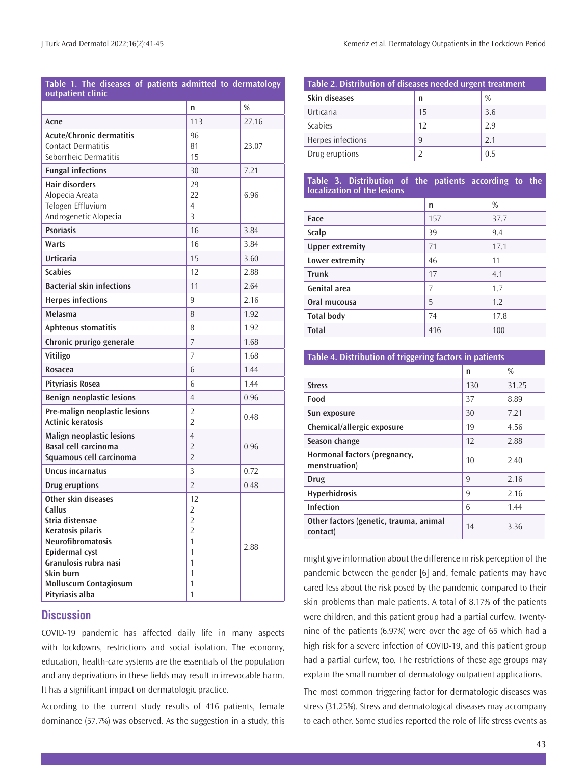| Table 1. The diseases of patients admitted to dermatology<br>outpatient clinic                                                                                                                               |                                                                                        |               |  |  |
|--------------------------------------------------------------------------------------------------------------------------------------------------------------------------------------------------------------|----------------------------------------------------------------------------------------|---------------|--|--|
|                                                                                                                                                                                                              | n                                                                                      | $\frac{0}{0}$ |  |  |
| Acne                                                                                                                                                                                                         | 113                                                                                    | 27.16         |  |  |
| <b>Acute/Chronic dermatitis</b><br><b>Contact Dermatitis</b><br>Seborrheic Dermatitis                                                                                                                        | 96<br>81<br>15                                                                         | 23.07         |  |  |
| <b>Fungal infections</b>                                                                                                                                                                                     | 30                                                                                     | 7.21          |  |  |
| <b>Hair disorders</b><br>Alopecia Areata<br>Telogen Effluvium<br>Androgenetic Alopecia                                                                                                                       | 29<br>22<br>4<br>3                                                                     | 6.96          |  |  |
| <b>Psoriasis</b>                                                                                                                                                                                             | 16                                                                                     | 3.84          |  |  |
| Warts                                                                                                                                                                                                        | 16                                                                                     | 3.84          |  |  |
| Urticaria                                                                                                                                                                                                    | 15                                                                                     | 3.60          |  |  |
| <b>Scabies</b>                                                                                                                                                                                               | 12                                                                                     | 2.88          |  |  |
| <b>Bacterial skin infections</b>                                                                                                                                                                             | 11                                                                                     | 2.64          |  |  |
| <b>Herpes infections</b>                                                                                                                                                                                     | 9                                                                                      | 2.16          |  |  |
| Melasma                                                                                                                                                                                                      | 8                                                                                      | 1.92          |  |  |
| <b>Aphteous stomatitis</b>                                                                                                                                                                                   | 8                                                                                      | 1.92          |  |  |
| Chronic prurigo generale                                                                                                                                                                                     | 7                                                                                      | 1.68          |  |  |
| Vitiligo                                                                                                                                                                                                     | 7                                                                                      | 1.68          |  |  |
| <b>Rosacea</b>                                                                                                                                                                                               | 6                                                                                      | 1.44          |  |  |
| <b>Pityriasis Rosea</b>                                                                                                                                                                                      | 6                                                                                      | 1.44          |  |  |
| <b>Benign neoplastic lesions</b>                                                                                                                                                                             | 4                                                                                      | 0.96          |  |  |
| Pre-malign neoplastic lesions<br><b>Actinic keratosis</b>                                                                                                                                                    | 2<br>$\overline{2}$                                                                    | 0.48          |  |  |
| Malign neoplastic lesions<br><b>Basal cell carcinoma</b><br>Squamous cell carcinoma                                                                                                                          | $\overline{4}$<br>2<br>$\overline{2}$                                                  | 0.96          |  |  |
| Uncus incarnatus                                                                                                                                                                                             | 3                                                                                      | 0.72          |  |  |
| <b>Drug eruptions</b>                                                                                                                                                                                        | $\overline{2}$                                                                         | 0.48          |  |  |
| Other skin diseases<br>Callus<br>Stria distensae<br>Keratosis pilaris<br>Neurofibromatosis<br><b>Epidermal cyst</b><br>Granulosis rubra nasi<br>Skin burn<br><b>Molluscum Contagiosum</b><br>Pityriasis alba | 12<br>$\overline{2}$<br>$\overline{2}$<br>$\overline{2}$<br>1<br>1<br>1<br>1<br>1<br>1 | 2.88          |  |  |

## **Discussion**

COVID-19 pandemic has affected daily life in many aspects with lockdowns, restrictions and social isolation. The economy, education, health-care systems are the essentials of the population and any deprivations in these fields may result in irrevocable harm. It has a significant impact on dermatologic practice.

According to the current study results of 416 patients, female dominance (57.7%) was observed. As the suggestion in a study, this

| Table 2. Distribution of diseases needed urgent treatment |    |               |  |  |
|-----------------------------------------------------------|----|---------------|--|--|
| Skin diseases                                             | n  | $\frac{0}{0}$ |  |  |
| Urticaria                                                 | 15 | 3.6           |  |  |
| <b>Scabies</b>                                            | 12 | 2.9           |  |  |
| Herpes infections                                         | q  | 21            |  |  |
| Drug eruptions                                            |    | 0.5           |  |  |

#### **Table 3. Distribution of the patients according to the localization of the lesions**

|                        | n   | %    |
|------------------------|-----|------|
| Face                   | 157 | 37.7 |
| Scalp                  | 39  | 9.4  |
| <b>Upper extremity</b> | 71  | 17.1 |
| Lower extremity        | 46  | 11   |
| <b>Trunk</b>           | 17  | 4.1  |
| <b>Genital area</b>    | 7   | 1.7  |
| Oral mucousa           | 5   | 1.2  |
| <b>Total body</b>      | 74  | 17.8 |
| <b>Total</b>           | 416 | 100  |

| Table 4. Distribution of triggering factors in patients |     |               |  |  |
|---------------------------------------------------------|-----|---------------|--|--|
|                                                         | n   | $\frac{0}{0}$ |  |  |
| <b>Stress</b>                                           | 130 | 31.25         |  |  |
| Food                                                    | 37  | 8.89          |  |  |
| Sun exposure                                            | 30  | 7.21          |  |  |
| Chemical/allergic exposure                              | 19  | 4.56          |  |  |
| Season change                                           | 12  | 2.88          |  |  |
| Hormonal factors (pregnancy,<br>menstruation)           | 10  | 2.40          |  |  |
| Drug                                                    | 9   | 2.16          |  |  |
| <b>Hyperhidrosis</b>                                    | 9   | 2.16          |  |  |
| <b>Infection</b>                                        | 6   | 1.44          |  |  |
| Other factors (genetic, trauma, animal<br>contact)      | 14  | 3.36          |  |  |

might give information about the difference in risk perception of the pandemic between the gender [6] and, female patients may have cared less about the risk posed by the pandemic compared to their skin problems than male patients. A total of 8.17% of the patients were children, and this patient group had a partial curfew. Twentynine of the patients (6.97%) were over the age of 65 which had a high risk for a severe infection of COVID-19, and this patient group had a partial curfew, too. The restrictions of these age groups may explain the small number of dermatology outpatient applications.

The most common triggering factor for dermatologic diseases was stress (31.25%). Stress and dermatological diseases may accompany to each other. Some studies reported the role of life stress events as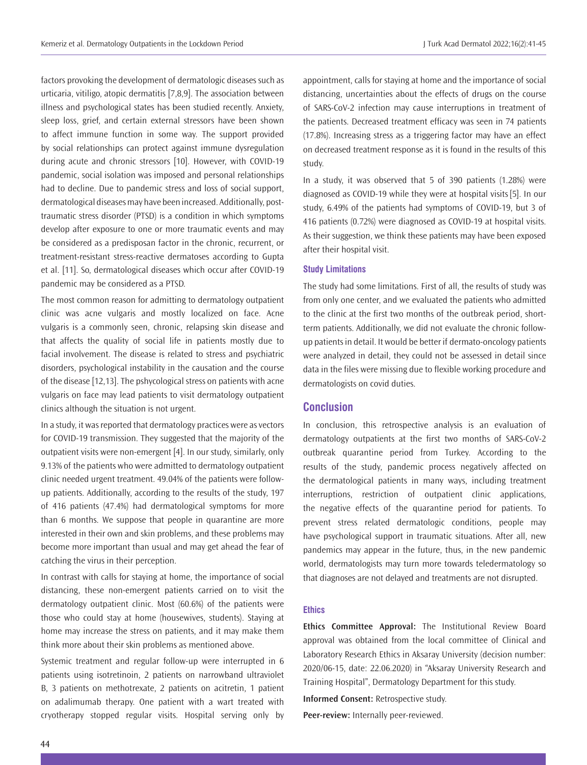factors provoking the development of dermatologic diseases such as urticaria, vitiligo, atopic dermatitis [7,8,9]. The association between illness and psychological states has been studied recently. Anxiety, sleep loss, grief, and certain external stressors have been shown to affect immune function in some way. The support provided by social relationships can protect against immune dysregulation during acute and chronic stressors [10]. However, with COVID-19 pandemic, social isolation was imposed and personal relationships had to decline. Due to pandemic stress and loss of social support, dermatological diseases may have been increased. Additionally, posttraumatic stress disorder (PTSD) is a condition in which symptoms develop after exposure to one or more traumatic events and may be considered as a predisposan factor in the chronic, recurrent, or treatment-resistant stress-reactive dermatoses according to Gupta et al. [11]. So, dermatological diseases which occur after COVID-19 pandemic may be considered as a PTSD.

The most common reason for admitting to dermatology outpatient clinic was acne vulgaris and mostly localized on face. Acne vulgaris is a commonly seen, chronic, relapsing skin disease and that affects the quality of social life in patients mostly due to facial involvement. The disease is related to stress and psychiatric disorders, psychological instability in the causation and the course of the disease [12,13]. The pshycological stress on patients with acne vulgaris on face may lead patients to visit dermatology outpatient clinics although the situation is not urgent.

In a study, it was reported that dermatology practices were as vectors for COVID-19 transmission. They suggested that the majority of the outpatient visits were non-emergent [4]. In our study, similarly, only 9.13% of the patients who were admitted to dermatology outpatient clinic needed urgent treatment. 49.04% of the patients were followup patients. Additionally, according to the results of the study, 197 of 416 patients (47.4%) had dermatological symptoms for more than 6 months. We suppose that people in quarantine are more interested in their own and skin problems, and these problems may become more important than usual and may get ahead the fear of catching the virus in their perception.

In contrast with calls for staying at home, the importance of social distancing, these non-emergent patients carried on to visit the dermatology outpatient clinic. Most (60.6%) of the patients were those who could stay at home (housewives, students). Staying at home may increase the stress on patients, and it may make them think more about their skin problems as mentioned above.

Systemic treatment and regular follow-up were interrupted in 6 patients using isotretinoin, 2 patients on narrowband ultraviolet B, 3 patients on methotrexate, 2 patients on acitretin, 1 patient on adalimumab therapy. One patient with a wart treated with cryotherapy stopped regular visits. Hospital serving only by

appointment, calls for staying at home and the importance of social distancing, uncertainties about the effects of drugs on the course of SARS-CoV-2 infection may cause interruptions in treatment of the patients. Decreased treatment efficacy was seen in 74 patients (17.8%). Increasing stress as a triggering factor may have an effect on decreased treatment response as it is found in the results of this study.

In a study, it was observed that 5 of 390 patients (1.28%) were diagnosed as COVID-19 while they were at hospital visits[5]. In our study, 6.49% of the patients had symptoms of COVID-19, but 3 of 416 patients (0.72%) were diagnosed as COVID-19 at hospital visits. As their suggestion, we think these patients may have been exposed after their hospital visit.

#### **Study Limitations**

The study had some limitations. First of all, the results of study was from only one center, and we evaluated the patients who admitted to the clinic at the first two months of the outbreak period, shortterm patients. Additionally, we did not evaluate the chronic followup patients in detail. It would be better if dermato-oncology patients were analyzed in detail, they could not be assessed in detail since data in the files were missing due to flexible working procedure and dermatologists on covid duties.

#### **Conclusion**

In conclusion, this retrospective analysis is an evaluation of dermatology outpatients at the first two months of SARS-CoV-2 outbreak quarantine period from Turkey. According to the results of the study, pandemic process negatively affected on the dermatological patients in many ways, including treatment interruptions, restriction of outpatient clinic applications, the negative effects of the quarantine period for patients. To prevent stress related dermatologic conditions, people may have psychological support in traumatic situations. After all, new pandemics may appear in the future, thus, in the new pandemic world, dermatologists may turn more towards teledermatology so that diagnoses are not delayed and treatments are not disrupted.

#### **Ethics**

**Ethics Committee Approval:** The Institutional Review Board approval was obtained from the local committee of Clinical and Laboratory Research Ethics in Aksaray University (decision number: 2020/06-15, date: 22.06.2020) in "Aksaray University Research and Training Hospital", Dermatology Department for this study.

**Informed Consent:** Retrospective study.

**Peer-review:** Internally peer-reviewed.